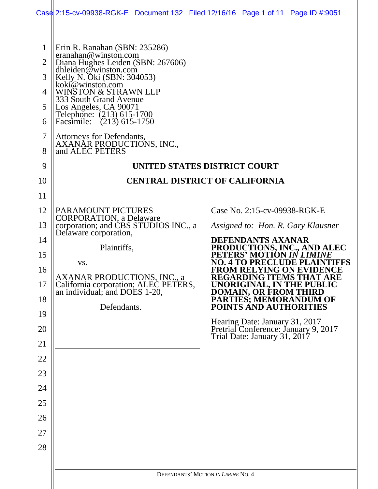|                     | Case 2:15-cv-09938-RGK-E Document 132 Filed 12/16/16 Page 1 of 11 Page ID #:9051 |                                       |  |                                                 |                                                                                    |  |  |
|---------------------|----------------------------------------------------------------------------------|---------------------------------------|--|-------------------------------------------------|------------------------------------------------------------------------------------|--|--|
|                     |                                                                                  |                                       |  |                                                 |                                                                                    |  |  |
| $\mathbf{1}$        | Erin R. Ranahan (SBN: 235286)<br>eranahan@winston.com                            |                                       |  |                                                 |                                                                                    |  |  |
| $\overline{2}$      | Diana Hughes Leiden (SBN: 267606)<br>dhleiden $@$ winston.com                    |                                       |  |                                                 |                                                                                    |  |  |
| 3                   | Kelly N. Oki (SBN: 304053)<br>koki@winston.com                                   |                                       |  |                                                 |                                                                                    |  |  |
| 4                   | WINSTON & STRAWN LLP<br>333 South Grand Avenue                                   |                                       |  |                                                 |                                                                                    |  |  |
| 5                   | Los Angeles, CA 90071<br>Telephone: (213) 615-1700                               |                                       |  |                                                 |                                                                                    |  |  |
| 6                   | Facsimile: (213) 615-1750                                                        |                                       |  |                                                 |                                                                                    |  |  |
| $\overline{7}$<br>8 | Attorneys for Defendants,<br>AXANAR PRODUCTIONS, INC.,<br>and ALEC PETERS        |                                       |  |                                                 |                                                                                    |  |  |
| 9                   |                                                                                  | UNITED STATES DISTRICT COURT          |  |                                                 |                                                                                    |  |  |
| 10                  |                                                                                  | <b>CENTRAL DISTRICT OF CALIFORNIA</b> |  |                                                 |                                                                                    |  |  |
| 11                  |                                                                                  |                                       |  |                                                 |                                                                                    |  |  |
| 12                  | <b>PARAMOUNT PICTURES</b>                                                        |                                       |  | Case No. 2:15-cv-09938-RGK-E                    |                                                                                    |  |  |
| 13                  | <b>CORPORATION</b> , a Delaware<br>corporation; and CBS STUDIOS INC., a          |                                       |  |                                                 | Assigned to: Hon. R. Gary Klausner                                                 |  |  |
| 14                  | Delaware corporation,<br>Plaintiffs,                                             |                                       |  | <b>DEFENDANTS AXANAR</b>                        | PRODUCTIONS, INC., AND ALEC                                                        |  |  |
| 15                  | VS.                                                                              |                                       |  | PETERS' MOTION IN LIA<br>O. 4 TO PRECLUDE PLAIN |                                                                                    |  |  |
| 16                  | <b>AXANAR PRODUCTIONS, INC., a</b>                                               |                                       |  |                                                 | <b>FROM RELYING ON EVIDENCE</b><br><b>REGARDING ITEMS THAT ARE</b>                 |  |  |
| 17                  | California corporation; ALEC PETERS,<br>an individual; and DOES 1-20,            |                                       |  |                                                 | UNORIGINAL, IN THE PUBLIC                                                          |  |  |
| 18                  | Defendants.                                                                      |                                       |  |                                                 | <b>DOMAIN, OR FROM THIRD<br/>PARTIES; MEMORANDUM OF<br/>POINTS AND AUTHORITIES</b> |  |  |
| 19                  |                                                                                  |                                       |  | Hearing Date: January 31, 2017                  |                                                                                    |  |  |
| 20                  |                                                                                  |                                       |  |                                                 | Pretrial Conference: January 9, 2017<br>Trial Date: January 31, 2017               |  |  |
| 21                  |                                                                                  |                                       |  |                                                 |                                                                                    |  |  |
| 22                  |                                                                                  |                                       |  |                                                 |                                                                                    |  |  |
| 23                  |                                                                                  |                                       |  |                                                 |                                                                                    |  |  |
| 24                  |                                                                                  |                                       |  |                                                 |                                                                                    |  |  |
| 25                  |                                                                                  |                                       |  |                                                 |                                                                                    |  |  |
| 26                  |                                                                                  |                                       |  |                                                 |                                                                                    |  |  |
| 27                  |                                                                                  |                                       |  |                                                 |                                                                                    |  |  |
| 28                  |                                                                                  |                                       |  |                                                 |                                                                                    |  |  |
|                     |                                                                                  | DEFENDANTS' MOTION IN LIMINE NO. 4    |  |                                                 |                                                                                    |  |  |
|                     |                                                                                  |                                       |  |                                                 |                                                                                    |  |  |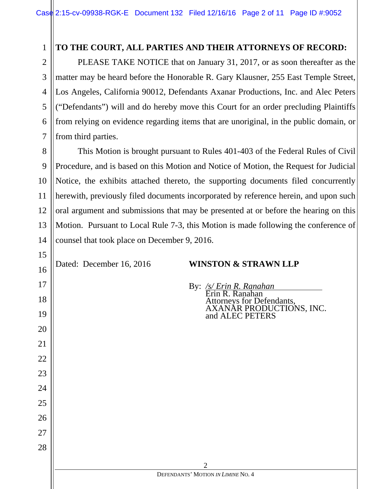### **TO THE COURT, ALL PARTIES AND THEIR ATTORNEYS OF RECORD:**

PLEASE TAKE NOTICE that on January 31, 2017, or as soon thereafter as the matter may be heard before the Honorable R. Gary Klausner, 255 East Temple Street, Los Angeles, California 90012, Defendants Axanar Productions, Inc. and Alec Peters ("Defendants") will and do hereby move this Court for an order precluding Plaintiffs from relying on evidence regarding items that are unoriginal, in the public domain, or from third parties.

8 9 10 11 12 13 14 This Motion is brought pursuant to Rules 401-403 of the Federal Rules of Civil Procedure, and is based on this Motion and Notice of Motion, the Request for Judicial Notice, the exhibits attached thereto, the supporting documents filed concurrently herewith, previously filed documents incorporated by reference herein, and upon such oral argument and submissions that may be presented at or before the hearing on this Motion. Pursuant to Local Rule 7-3, this Motion is made following the conference of counsel that took place on December 9, 2016.

1

2

3

4

5

6

7

15

16

17

18

19

20

21

22

23

24

25

26

27

28

#### Dated: December 16, 2016 **WINSTON & STRAWN LLP**

By: */s/ Erin R. Ranahan*<br>Erin R. Ranahan Attorneys for Defendants, AXANAR PRODUCTIONS, INC. and ALEC PETERS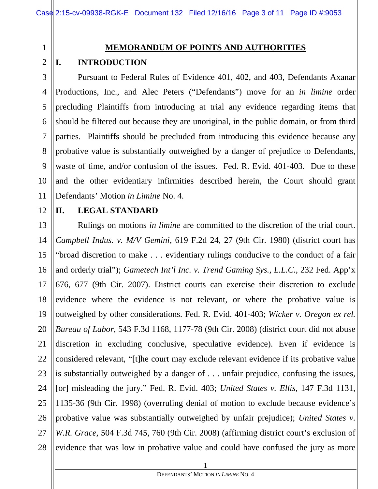#### **MEMORANDUM OF POINTS AND AUTHORITIES**

#### 2 **I. INTRODUCTION**

3 4 5 6 7 8 9 10 Pursuant to Federal Rules of Evidence 401, 402, and 403, Defendants Axanar Productions, Inc., and Alec Peters ("Defendants") move for an *in limine* order precluding Plaintiffs from introducing at trial any evidence regarding items that should be filtered out because they are unoriginal, in the public domain, or from third parties. Plaintiffs should be precluded from introducing this evidence because any probative value is substantially outweighed by a danger of prejudice to Defendants, waste of time, and/or confusion of the issues. Fed. R. Evid. 401-403. Due to these and the other evidentiary infirmities described herein, the Court should grant Defendants' Motion *in Limine* No. 4.

# 12

11

1

#### **II. LEGAL STANDARD**

13 14 15 16 17 18 19 20 21 22 23 24 25 26 27 28 Rulings on motions *in limine* are committed to the discretion of the trial court. *Campbell Indus. v. M/V Gemini*, 619 F.2d 24, 27 (9th Cir. 1980) (district court has "broad discretion to make . . . evidentiary rulings conducive to the conduct of a fair and orderly trial"); *Gametech Int'l Inc. v. Trend Gaming Sys., L.L.C.*, 232 Fed. App'x 676, 677 (9th Cir. 2007). District courts can exercise their discretion to exclude evidence where the evidence is not relevant, or where the probative value is outweighed by other considerations. Fed. R. Evid. 401-403; *Wicker v. Oregon ex rel. Bureau of Labor*, 543 F.3d 1168, 1177-78 (9th Cir. 2008) (district court did not abuse discretion in excluding conclusive, speculative evidence). Even if evidence is considered relevant, "[t]he court may exclude relevant evidence if its probative value is substantially outweighed by a danger of . . . unfair prejudice, confusing the issues, [or] misleading the jury." Fed. R. Evid. 403; *United States v. Ellis*, 147 F.3d 1131, 1135-36 (9th Cir. 1998) (overruling denial of motion to exclude because evidence's probative value was substantially outweighed by unfair prejudice); *United States v. W.R. Grace*, 504 F.3d 745, 760 (9th Cir. 2008) (affirming district court's exclusion of evidence that was low in probative value and could have confused the jury as more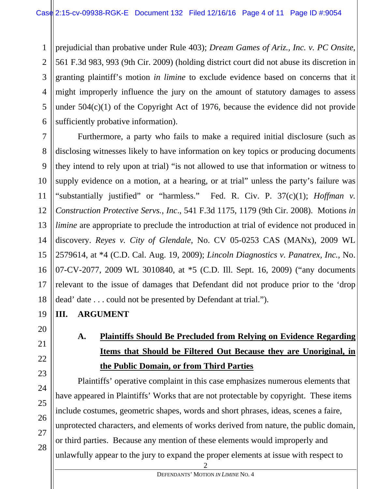1 2 3 4 5 6 prejudicial than probative under Rule 403); *Dream Games of Ariz., Inc. v. PC Onsite*, 561 F.3d 983, 993 (9th Cir. 2009) (holding district court did not abuse its discretion in granting plaintiff's motion *in limine* to exclude evidence based on concerns that it might improperly influence the jury on the amount of statutory damages to assess under  $504(c)(1)$  of the Copyright Act of 1976, because the evidence did not provide sufficiently probative information).

7 8 Furthermore, a party who fails to make a required initial disclosure (such as disclosing witnesses likely to have information on key topics or producing documents they intend to rely upon at trial) "is not allowed to use that information or witness to supply evidence on a motion, at a hearing, or at trial" unless the party's failure was "substantially justified" or "harmless." Fed. R. Civ. P. 37(c)(1); *Hoffman v. Construction Protective Servs., Inc*., 541 F.3d 1175, 1179 (9th Cir. 2008). Motions *in limine* are appropriate to preclude the introduction at trial of evidence not produced in discovery. *Reyes v. City of Glendale*, No. CV 05-0253 CAS (MANx), 2009 WL 2579614, at \*4 (C.D. Cal. Aug. 19, 2009); *Lincoln Diagnostics v. Panatrex, Inc.*, No. 07-CV-2077, 2009 WL 3010840, at \*5 (C.D. Ill. Sept. 16, 2009) ("any documents relevant to the issue of damages that Defendant did not produce prior to the 'drop dead' date . . . could not be presented by Defendant at trial.").

#### **III. ARGUMENT**

### **A. Plaintiffs Should Be Precluded from Relying on Evidence Regarding Items that Should be Filtered Out Because they are Unoriginal, in the Public Domain, or from Third Parties**

Plaintiffs' operative complaint in this case emphasizes numerous elements that have appeared in Plaintiffs' Works that are not protectable by copyright. These items include costumes, geometric shapes, words and short phrases, ideas, scenes a faire, unprotected characters, and elements of works derived from nature, the public domain, or third parties. Because any mention of these elements would improperly and unlawfully appear to the jury to expand the proper elements at issue with respect to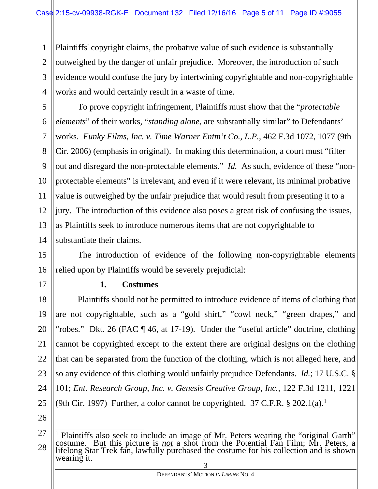1 2 3 4 Plaintiffs' copyright claims, the probative value of such evidence is substantially outweighed by the danger of unfair prejudice. Moreover, the introduction of such evidence would confuse the jury by intertwining copyrightable and non-copyrightable works and would certainly result in a waste of time.

To prove copyright infringement, Plaintiffs must show that the "*protectable elements*" of their works, "*standing alone*, are substantially similar" to Defendants' works. *Funky Films, Inc. v. Time Warner Entm't Co., L.P.*, 462 F.3d 1072, 1077 (9th Cir. 2006) (emphasis in original). In making this determination, a court must "filter out and disregard the non-protectable elements." *Id.* As such, evidence of these "nonprotectable elements" is irrelevant, and even if it were relevant, its minimal probative value is outweighed by the unfair prejudice that would result from presenting it to a jury. The introduction of this evidence also poses a great risk of confusing the issues, as Plaintiffs seek to introduce numerous items that are not copyrightable to substantiate their claims.

15 16 The introduction of evidence of the following non-copyrightable elements relied upon by Plaintiffs would be severely prejudicial:

17

5

6

7

8

9

10

11

12

13

14

#### **1. Costumes**

18 19 20 21 22 23 24 25 Plaintiffs should not be permitted to introduce evidence of items of clothing that are not copyrightable, such as a "gold shirt," "cowl neck," "green drapes," and "robes." Dkt. 26 (FAC ¶ 46, at 17-19). Under the "useful article" doctrine, clothing cannot be copyrighted except to the extent there are original designs on the clothing that can be separated from the function of the clothing, which is not alleged here, and so any evidence of this clothing would unfairly prejudice Defendants. *Id.*; 17 U.S.C. § 101; *Ent. Research Group, Inc. v. Genesis Creative Group, Inc.,* 122 F.3d 1211, 1221 (9th Cir. 1997) Further, a color cannot be copyrighted. 37 C.F.R.  $\S 202.1(a)$ .<sup>1</sup>

26

27

<sup>28</sup> 3 1 Plaintiffs also seek to include an image of Mr. Peters wearing the "original Garth" costume. But this picture is *not* a shot from the Potential Fan Film; Mr. Peters, a lifelong Star Trek fan, lawfully purchased the costume for his collection and is shown wearing it.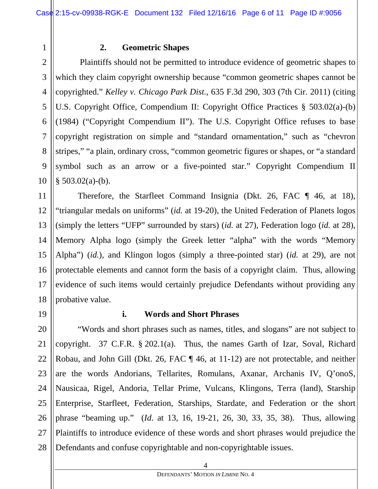#### **2. Geometric Shapes**

 Plaintiffs should not be permitted to introduce evidence of geometric shapes to which they claim copyright ownership because "common geometric shapes cannot be copyrighted." *Kelley v. Chicago Park Dist.*, 635 F.3d 290, 303 (7th Cir. 2011) (citing U.S. Copyright Office, Compendium II: Copyright Office Practices § 503.02(a)-(b) (1984) ("Copyright Compendium II"). The U.S. Copyright Office refuses to base copyright registration on simple and "standard ornamentation," such as "chevron stripes," "a plain, ordinary cross, "common geometric figures or shapes, or "a standard symbol such as an arrow or a five-pointed star." Copyright Compendium II  $§$  503.02(a)-(b).

Therefore, the Starfleet Command Insignia (Dkt. 26, FAC ¶ 46, at 18), "triangular medals on uniforms" (*id.* at 19-20), the United Federation of Planets logos (simply the letters "UFP" surrounded by stars) (*id.* at 27), Federation logo (*id.* at 28), Memory Alpha logo (simply the Greek letter "alpha" with the words "Memory Alpha") (*id.*), and Klingon logos (simply a three-pointed star) (*id.* at 29), are not protectable elements and cannot form the basis of a copyright claim. Thus, allowing evidence of such items would certainly prejudice Defendants without providing any probative value.

19

1

2

3

4

5

6

7

8

9

10

11

12

13

14

15

16

17

18

#### **i. Words and Short Phrases**

20 21 22 23 24 25 26 27 28 "Words and short phrases such as names, titles, and slogans" are not subject to copyright. 37 C.F.R. § 202.1(a). Thus, the names Garth of Izar, Soval, Richard Robau, and John Gill (Dkt. 26, FAC ¶ 46, at 11-12) are not protectable, and neither are the words Andorians, Tellarites, Romulans, Axanar, Archanis IV, Q'onoS, Nausicaa, Rigel, Andoria, Tellar Prime, Vulcans, Klingons, Terra (land), Starship Enterprise, Starfleet, Federation, Starships, Stardate, and Federation or the short phrase "beaming up." (*Id*. at 13, 16, 19-21, 26, 30, 33, 35, 38). Thus, allowing Plaintiffs to introduce evidence of these words and short phrases would prejudice the Defendants and confuse copyrightable and non-copyrightable issues.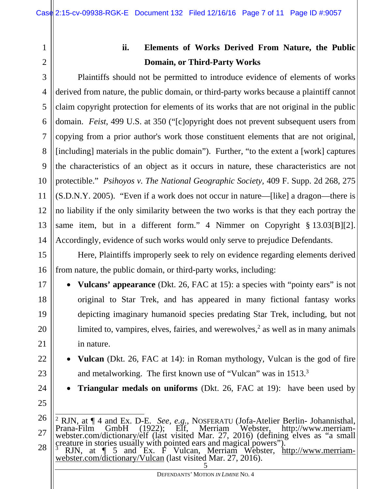2

3

4

5

6

7

8

9

10

11

12

13

14

15

16

17

18

19

20

21

22

23

1

### **ii. Elements of Works Derived From Nature, the Public Domain, or Third-Party Works**

Plaintiffs should not be permitted to introduce evidence of elements of works derived from nature, the public domain, or third-party works because a plaintiff cannot claim copyright protection for elements of its works that are not original in the public domain. *Feist*, 499 U.S. at 350 ("[c]opyright does not prevent subsequent users from copying from a prior author's work those constituent elements that are not original, [including] materials in the public domain"). Further, "to the extent a [work] captures the characteristics of an object as it occurs in nature, these characteristics are not protectible." *Psihoyos v. The National Geographic Society,* 409 F. Supp. 2d 268, 275 (S.D.N.Y. 2005). "Even if a work does not occur in nature—[like] a dragon—there is no liability if the only similarity between the two works is that they each portray the same item, but in a different form." 4 Nimmer on Copyright § 13.03[B][2]. Accordingly, evidence of such works would only serve to prejudice Defendants.

Here, Plaintiffs improperly seek to rely on evidence regarding elements derived from nature, the public domain, or third-party works, including:

• **Vulcans' appearance** (Dkt. 26, FAC at 15): a species with "pointy ears" is not original to Star Trek, and has appeared in many fictional fantasy works depicting imaginary humanoid species predating Star Trek, including, but not limited to, vampires, elves, fairies, and werewolves,<sup>2</sup> as well as in many animals in nature.

 **Vulcan** (Dkt. 26, FAC at 14): in Roman mythology, Vulcan is the god of fire and metalworking. The first known use of "Vulcan" was in  $1513<sup>3</sup>$ 

**Triangular medals on uniforms** (Dkt. 26, FAC at 19): have been used by

- 24
- 25

<sup>26</sup> 27 28 <sup>2</sup> RJN, at  $\P$  4 and Ex. D-E. *See, e.g.*, NOSFERATU (Jofa-Atelier Berlin- Johannisthal, Prana-Film GmbH (1922); Elf, Merriam Webster, http://www.merriam-webster.com/dictionary/elf (last visited Mar. 27, 2016) (defining creature in stories usually with pointed ears and magical powers").<br><sup>3</sup> RIN at  $\P$  5 and Ex E Vulcan Merriam Webster, ht

<sup>5</sup>  <sup>3</sup> RJN, at  $\parallel$  5 and Ex. F Vulcan, Merriam Webster, <u>http://www.merriam-webster.com/dictionary/Vulcan</u> (last visited Mar. 27, 2016).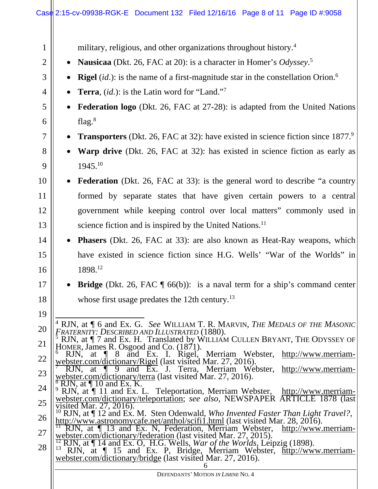## Case 2:15-cv-09938-RGK-E Document 132 Filed 12/16/16 Page 8 of 11 Page ID #:9058

| 1              | military, religious, and other organizations throughout history. <sup>4</sup>                                                                                                                                                                                         |  |  |  |  |
|----------------|-----------------------------------------------------------------------------------------------------------------------------------------------------------------------------------------------------------------------------------------------------------------------|--|--|--|--|
| $\overline{2}$ | <b>Nausicaa</b> (Dkt. 26, FAC at 20): is a character in Homer's Odyssey. <sup>5</sup>                                                                                                                                                                                 |  |  |  |  |
| 3              | <b>Rigel</b> ( <i>id.</i> ): is the name of a first-magnitude star in the constellation Orion. <sup>6</sup>                                                                                                                                                           |  |  |  |  |
| 4              | <b>Terra</b> , $(id.)$ : is the Latin word for "Land." <sup>7</sup>                                                                                                                                                                                                   |  |  |  |  |
| 5              | Federation logo (Dkt. 26, FAC at 27-28): is adapted from the United Nations                                                                                                                                                                                           |  |  |  |  |
| 6              | flag. $8$                                                                                                                                                                                                                                                             |  |  |  |  |
| $\overline{7}$ | <b>Transporters</b> (Dkt. 26, FAC at 32): have existed in science fiction since 1877. <sup>9</sup>                                                                                                                                                                    |  |  |  |  |
| 8              | <b>Warp drive</b> (Dkt. 26, FAC at 32): has existed in science fiction as early as                                                                                                                                                                                    |  |  |  |  |
| 9              | 1945.10                                                                                                                                                                                                                                                               |  |  |  |  |
| 10             | <b>Federation</b> (Dkt. 26, FAC at 33): is the general word to describe "a country                                                                                                                                                                                    |  |  |  |  |
| 11             | formed by separate states that have given certain powers to a central                                                                                                                                                                                                 |  |  |  |  |
| 12             | government while keeping control over local matters" commonly used in                                                                                                                                                                                                 |  |  |  |  |
| 13             | science fiction and is inspired by the United Nations. <sup>11</sup>                                                                                                                                                                                                  |  |  |  |  |
| 14             | <b>Phasers</b> (Dkt. 26, FAC at 33): are also known as Heat-Ray weapons, which                                                                                                                                                                                        |  |  |  |  |
| 15             | have existed in science fiction since H.G. Wells' "War of the Worlds" in                                                                                                                                                                                              |  |  |  |  |
| 16             | 1898.12                                                                                                                                                                                                                                                               |  |  |  |  |
| 17             | <b>Bridge</b> (Dkt. 26, FAC $\parallel$ 66(b)): is a naval term for a ship's command center                                                                                                                                                                           |  |  |  |  |
| 18             | whose first usage predates the 12th century. $^{13}$                                                                                                                                                                                                                  |  |  |  |  |
| 19             |                                                                                                                                                                                                                                                                       |  |  |  |  |
| 20             | <sup>4</sup> RJN, at $\P$ 6 and Ex. G. <i>See</i> WILLIAM T. R. MARVIN, <i>THE MEDALS OF THE MASONIC</i><br><b>FRATERNITY: DESCRIBED AND ILLUSTRATED (1880).</b>                                                                                                      |  |  |  |  |
| 21             | RJN, at   7 and Ex. H. Translated by WILLIAM CULLEN BRYANT, THE ODYSSEY OF<br>HOMER, James R. Osgood and Co. (1871).                                                                                                                                                  |  |  |  |  |
| 22             | <sup>6</sup> RJN, at 1 8 and Ex. I. Rigel, Merriam Webster, http://www.merriam-<br>webster.com/dictionary/Rigel (last visited Mar. 27, 2016).                                                                                                                         |  |  |  |  |
| 23             | and Ex. J. Terra, Merriam Webster,<br>http://www.merriam-<br>$\overline{at}$ $\P$<br>RJN,<br>9<br>webster.com/dictionary/terra (last visited Mar. 27, 2016).                                                                                                          |  |  |  |  |
| 24             | RJN, $a\overline{t}$ 10 and Ex. K.<br>RJN, at [11 and Ex. L. Teleportation, Merriam Webster, http://www.merriam-                                                                                                                                                      |  |  |  |  |
| 25             | webster.com/dictionary/teleportation; see also, NEWSPAPER ARTICLE 1878 (last<br>visited Mar. $27, 2016$ ).                                                                                                                                                            |  |  |  |  |
| 26             | <sup>10</sup> RJN, at $\P$ 12 and Ex. M. Sten Odenwald, Who Invented Faster Than Light Travel?,<br>http://www.astronomycafe.net/anthol/scifi1.html (last visited Mar. 28, 2016).<br><sup>11</sup> RJN, at $\P$ 13 and Ex. N, Federation, Merriam Webster, http://www. |  |  |  |  |
| 27             | http://www.merriam-<br>webster.com/dictionary/federation (last visited Mar. 27, 2015).<br>$\frac{12 \text{ RJN}}{14 \text{ RJN}}$ at $\P$ 14 and Ex. O, H.G. Wells, <i>War of the Worlds</i> , Leipzig (1898).                                                        |  |  |  |  |
| 28             | RJN, at 15 and Ex. P, Bridge, Merriam Webster, http://www.merriam-<br>webster.com/dictionary/bridge (last visited Mar. 27, 2016).                                                                                                                                     |  |  |  |  |
|                | DEFENDANTS' MOTION IN LIMINE NO. 4                                                                                                                                                                                                                                    |  |  |  |  |
|                |                                                                                                                                                                                                                                                                       |  |  |  |  |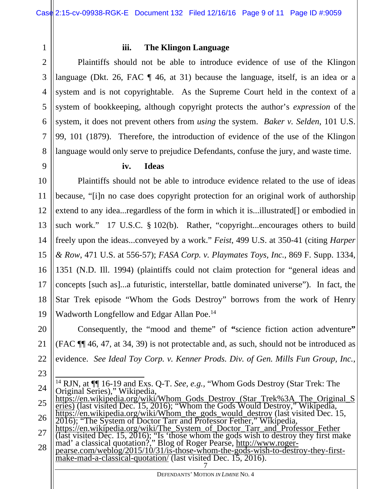2 3

9

23

1

#### **iii. The Klingon Language**

4 5 6 7 8 Plaintiffs should not be able to introduce evidence of use of the Klingon language (Dkt. 26, FAC  $\P$  46, at 31) because the language, itself, is an idea or a system and is not copyrightable. As the Supreme Court held in the context of a system of bookkeeping, although copyright protects the author's *expression* of the system, it does not prevent others from *using* the system. *Baker v. Selden*, 101 U.S. 99, 101 (1879). Therefore, the introduction of evidence of the use of the Klingon language would only serve to prejudice Defendants, confuse the jury, and waste time.

#### **iv. Ideas**

10 11 12 13 14 15 16 17 18 19 Plaintiffs should not be able to introduce evidence related to the use of ideas because, "[i]n no case does copyright protection for an original work of authorship extend to any idea...regardless of the form in which it is...illustrated<sup>[]</sup> or embodied in such work." 17 U.S.C. § 102(b). Rather, "copyright...encourages others to build freely upon the ideas...conveyed by a work." *Feist*, 499 U.S. at 350-41 (citing *Harper & Row*, 471 U.S. at 556-57); *FASA Corp. v. Playmates Toys, Inc.*, 869 F. Supp. 1334, 1351 (N.D. Ill. 1994) (plaintiffs could not claim protection for "general ideas and concepts [such as]...a futuristic, interstellar, battle dominated universe"). In fact, the Star Trek episode "Whom the Gods Destroy" borrows from the work of Henry Wadworth Longfellow and Edgar Allan Poe.<sup>14</sup>

20 21 22 Consequently, the "mood and theme" of **"**science fiction action adventure**"**  (FAC ¶¶ 46, 47, at 34, 39) is not protectable and, as such, should not be introduced as evidence. *See Ideal Toy Corp. v. Kenner Prods. Div. of Gen. Mills Fun Group, Inc.*,

- 24  $\overline{1}$ <sup>14</sup> RJN, at  $\P$ [16-19 and Exs. Q-T. *See, e.g.,* "Whom Gods Destroy (Star Trek: The Original Series)," Wikipedia,
- 25 26 Original Series)," Wikipedia,<br>
https://en.wikipedia.org/wiki/Whom Gods Destroy (Star Trek%3A The Original S<br>
eries) (last visited Dec. 15, 2016); "Whom the Gods Would Destroy," Wikipedia,<br>
https://en.wikipedia.org/wiki/Who
- 27 (last visited Dec. 15, 2016); "Is 'those whom the gods wish to destroy they first make<br>mad' a classical quotation?," Blog of Roger Pearse, http://www.roger-<br>pearse.com/weblog/2015/10/31/is-those-whom-the-gods-wish-to-destr
- 28 7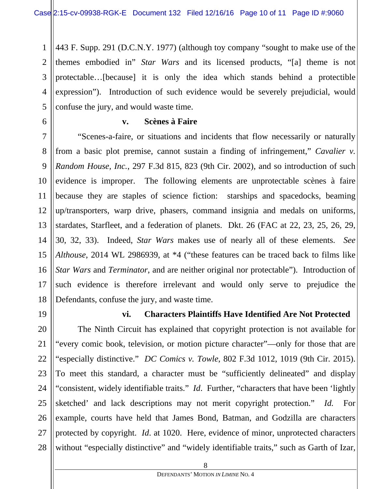1 2 3 4 5 443 F. Supp. 291 (D.C.N.Y. 1977) (although toy company "sought to make use of the themes embodied in" *Star Wars* and its licensed products, "[a] theme is not protectable…[because] it is only the idea which stands behind a protectible expression"). Introduction of such evidence would be severely prejudicial, would confuse the jury, and would waste time.

6

7

8

9

11

12

#### **v. Scènes à Faire**

10 13 14 15 16 17 18 "Scenes-a-faire, or situations and incidents that flow necessarily or naturally from a basic plot premise, cannot sustain a finding of infringement," *Cavalier v. Random House, Inc.*, 297 F.3d 815, 823 (9th Cir. 2002), and so introduction of such evidence is improper. The following elements are unprotectable scènes à faire because they are staples of science fiction: starships and spacedocks, beaming up/transporters, warp drive, phasers, command insignia and medals on uniforms, stardates, Starfleet, and a federation of planets. Dkt. 26 (FAC at 22, 23, 25, 26, 29, 30, 32, 33). Indeed, *Star Wars* makes use of nearly all of these elements. *See Althouse*, 2014 WL 2986939, at \*4 ("these features can be traced back to films like *Star Wars* and *Terminator*, and are neither original nor protectable"). Introduction of such evidence is therefore irrelevant and would only serve to prejudice the Defendants, confuse the jury, and waste time.

19 20

21

27

#### **vi. Characters Plaintiffs Have Identified Are Not Protected**

22 23 24 25 26 28 The Ninth Circuit has explained that copyright protection is not available for "every comic book, television, or motion picture character"—only for those that are "especially distinctive." *DC Comics v. Towle*, 802 F.3d 1012, 1019 (9th Cir. 2015). To meet this standard, a character must be "sufficiently delineated" and display "consistent, widely identifiable traits." *Id*. Further, "characters that have been 'lightly sketched' and lack descriptions may not merit copyright protection." *Id.* For example, courts have held that James Bond, Batman, and Godzilla are characters protected by copyright. *Id*. at 1020. Here, evidence of minor, unprotected characters without "especially distinctive" and "widely identifiable traits," such as Garth of Izar,